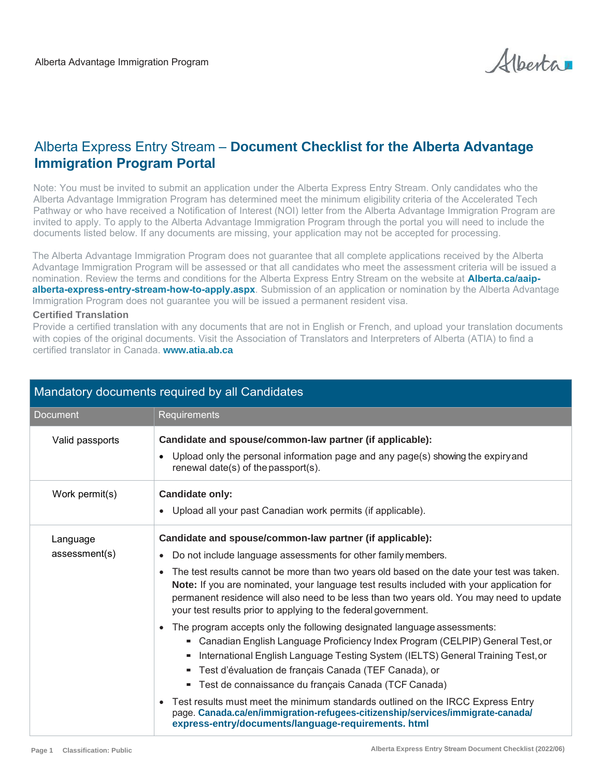Albertar

## Alberta Express Entry Stream – **Document Checklist for the Alberta Advantage Immigration Program Portal**

Note: You must be invited to submit an application under the Alberta Express Entry Stream. Only candidates who the Alberta Advantage Immigration Program has determined meet the minimum eligibility criteria of the Accelerated Tech Pathway or who have received a Notification of Interest (NOI) letter from the Alberta Advantage Immigration Program are invited to apply. To apply to the Alberta Advantage Immigration Program through the portal you will need to include the documents listed below. If any documents are missing, your application may not be accepted for processing.

The Alberta Advantage Immigration Program does not guarantee that all complete applications received by the Alberta Advantage Immigration Program will be assessed or that all candidates who meet the assessment criteria will be issued a nomination. Review the terms and conditions for the Alberta Express Entry Stream on the website at **Alberta.ca/aaipalberta-express-entry-stream[-how-to-apply.aspx](https://www.alberta.ca/ainp-alberta-express-entry-stream-apply.aspx)**. Submission of an application or nomination by the Alberta Advantage Immigration Program does not guarantee you will be issued a permanent resident visa.

## **Certified Translation**

Provide a certified translation with any documents that are not in English or French, and upload your translation documents with copies of the original documents. Visit the Association of Translators and Interpreters of Alberta (ATIA) to find a certified translator in Canada. **www.atia.ab.ca**

| Mandatory documents required by all Candidates |                                                                                                                                                                                                                                                                                                                                                                                                                                                                                                                                                                                                                                                                                                                                                                                                                                                                                                                                                                                                                                                                                                             |  |
|------------------------------------------------|-------------------------------------------------------------------------------------------------------------------------------------------------------------------------------------------------------------------------------------------------------------------------------------------------------------------------------------------------------------------------------------------------------------------------------------------------------------------------------------------------------------------------------------------------------------------------------------------------------------------------------------------------------------------------------------------------------------------------------------------------------------------------------------------------------------------------------------------------------------------------------------------------------------------------------------------------------------------------------------------------------------------------------------------------------------------------------------------------------------|--|
| <b>Document</b>                                | Requirements                                                                                                                                                                                                                                                                                                                                                                                                                                                                                                                                                                                                                                                                                                                                                                                                                                                                                                                                                                                                                                                                                                |  |
| Valid passports                                | Candidate and spouse/common-law partner (if applicable):<br>Upload only the personal information page and any page(s) showing the expiryand<br>renewal date(s) of the passport(s).                                                                                                                                                                                                                                                                                                                                                                                                                                                                                                                                                                                                                                                                                                                                                                                                                                                                                                                          |  |
| Work permit(s)                                 | <b>Candidate only:</b><br>Upload all your past Canadian work permits (if applicable).                                                                                                                                                                                                                                                                                                                                                                                                                                                                                                                                                                                                                                                                                                                                                                                                                                                                                                                                                                                                                       |  |
| Language<br>assessment(s)                      | Candidate and spouse/common-law partner (if applicable):<br>Do not include language assessments for other family members.<br>The test results cannot be more than two years old based on the date your test was taken.<br>$\bullet$<br>Note: If you are nominated, your language test results included with your application for<br>permanent residence will also need to be less than two years old. You may need to update<br>your test results prior to applying to the federal government.<br>The program accepts only the following designated language assessments:<br>$\bullet$<br>• Canadian English Language Proficiency Index Program (CELPIP) General Test, or<br>International English Language Testing System (IELTS) General Training Test, or<br>Test d'évaluation de français Canada (TEF Canada), or<br>" Test de connaissance du français Canada (TCF Canada)<br>Test results must meet the minimum standards outlined on the IRCC Express Entry<br>page. Canada.ca/en/immigration-refugees-citizenship/services/immigrate-canada/<br>express-entry/documents/language-requirements. html |  |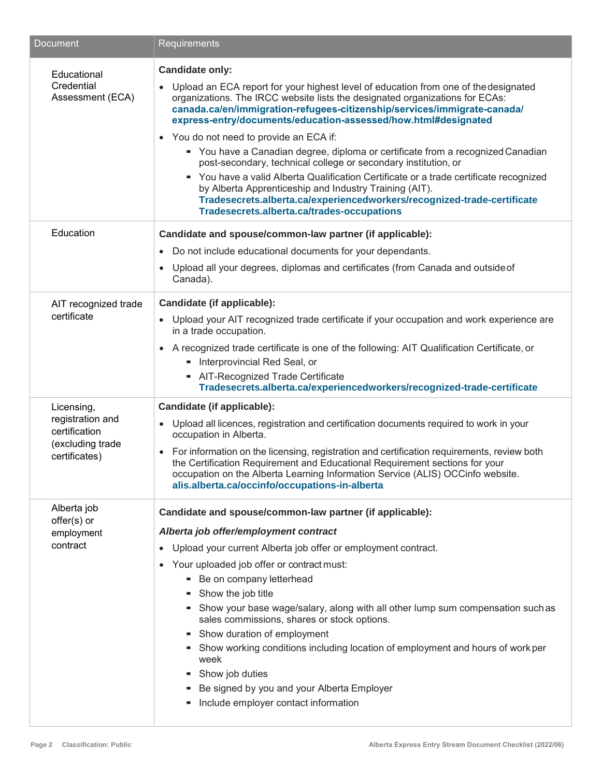| Document                                                                             | Requirements                                                                                                                                                                                                                                                                                                                                                                                                                                                                                                                                                                                                                                                                                                                                                                                                                          |
|--------------------------------------------------------------------------------------|---------------------------------------------------------------------------------------------------------------------------------------------------------------------------------------------------------------------------------------------------------------------------------------------------------------------------------------------------------------------------------------------------------------------------------------------------------------------------------------------------------------------------------------------------------------------------------------------------------------------------------------------------------------------------------------------------------------------------------------------------------------------------------------------------------------------------------------|
| Educational<br>Credential<br>Assessment (ECA)                                        | <b>Candidate only:</b><br>Upload an ECA report for your highest level of education from one of the designated<br>$\bullet$<br>organizations. The IRCC website lists the designated organizations for ECAs:<br>canada.ca/en/immigration-refugees-citizenship/services/immigrate-canada/<br>express-entry/documents/education-assessed/how.html#designated<br>• You do not need to provide an ECA if:<br>" You have a Canadian degree, diploma or certificate from a recognized Canadian<br>post-secondary, technical college or secondary institution, or<br>" You have a valid Alberta Qualification Certificate or a trade certificate recognized<br>by Alberta Apprenticeship and Industry Training (AIT).<br>Tradesecrets.alberta.ca/experiencedworkers/recognized-trade-certificate<br>Tradesecrets.alberta.ca/trades-occupations |
| Education                                                                            | Candidate and spouse/common-law partner (if applicable):                                                                                                                                                                                                                                                                                                                                                                                                                                                                                                                                                                                                                                                                                                                                                                              |
|                                                                                      | Do not include educational documents for your dependants.                                                                                                                                                                                                                                                                                                                                                                                                                                                                                                                                                                                                                                                                                                                                                                             |
|                                                                                      | Upload all your degrees, diplomas and certificates (from Canada and outside of<br>Canada).                                                                                                                                                                                                                                                                                                                                                                                                                                                                                                                                                                                                                                                                                                                                            |
| AIT recognized trade                                                                 | Candidate (if applicable):                                                                                                                                                                                                                                                                                                                                                                                                                                                                                                                                                                                                                                                                                                                                                                                                            |
| certificate                                                                          | Upload your AIT recognized trade certificate if your occupation and work experience are<br>$\bullet$<br>in a trade occupation.                                                                                                                                                                                                                                                                                                                                                                                                                                                                                                                                                                                                                                                                                                        |
|                                                                                      | • A recognized trade certificate is one of the following: AIT Qualification Certificate, or<br>- Interprovincial Red Seal, or<br>- AIT-Recognized Trade Certificate                                                                                                                                                                                                                                                                                                                                                                                                                                                                                                                                                                                                                                                                   |
|                                                                                      | Tradesecrets.alberta.ca/experiencedworkers/recognized-trade-certificate                                                                                                                                                                                                                                                                                                                                                                                                                                                                                                                                                                                                                                                                                                                                                               |
| Licensing,<br>registration and<br>certification<br>(excluding trade<br>certificates) | Candidate (if applicable):<br>Upload all licences, registration and certification documents required to work in your<br>$\bullet$<br>occupation in Alberta.<br>For information on the licensing, registration and certification requirements, review both<br>$\bullet$<br>the Certification Requirement and Educational Requirement sections for your<br>occupation on the Alberta Learning Information Service (ALIS) OCCinfo website.<br>alis.alberta.ca/occinfo/occupations-in-alberta                                                                                                                                                                                                                                                                                                                                             |
| Alberta job                                                                          | Candidate and spouse/common-law partner (if applicable):                                                                                                                                                                                                                                                                                                                                                                                                                                                                                                                                                                                                                                                                                                                                                                              |
| offer(s) or<br>employment<br>contract                                                | Alberta job offer/employment contract<br>Upload your current Alberta job offer or employment contract.<br>Your uploaded job offer or contract must:<br>$\bullet$<br>- Be on company letterhead<br>Show the job title<br>Show your base wage/salary, along with all other lump sum compensation such as<br>sales commissions, shares or stock options.<br>- Show duration of employment<br>Show working conditions including location of employment and hours of work per<br>week<br>Show job duties<br>Be signed by you and your Alberta Employer<br>Include employer contact information                                                                                                                                                                                                                                             |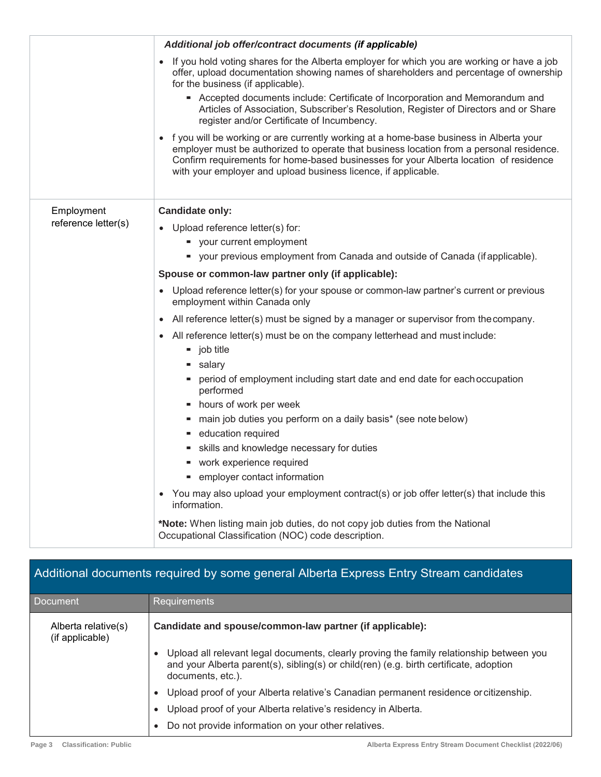|                     | Additional job offer/contract documents (if applicable)                                                                                                                                                                                                                                                                                       |
|---------------------|-----------------------------------------------------------------------------------------------------------------------------------------------------------------------------------------------------------------------------------------------------------------------------------------------------------------------------------------------|
|                     | If you hold voting shares for the Alberta employer for which you are working or have a job<br>offer, upload documentation showing names of shareholders and percentage of ownership<br>for the business (if applicable).                                                                                                                      |
|                     | - Accepted documents include: Certificate of Incorporation and Memorandum and<br>Articles of Association, Subscriber's Resolution, Register of Directors and or Share<br>register and/or Certificate of Incumbency.                                                                                                                           |
|                     | f you will be working or are currently working at a home-base business in Alberta your<br>employer must be authorized to operate that business location from a personal residence.<br>Confirm requirements for home-based businesses for your Alberta location of residence<br>with your employer and upload business licence, if applicable. |
| Employment          | <b>Candidate only:</b>                                                                                                                                                                                                                                                                                                                        |
| reference letter(s) | • Upload reference letter(s) for:                                                                                                                                                                                                                                                                                                             |
|                     | " your current employment                                                                                                                                                                                                                                                                                                                     |
|                     | " your previous employment from Canada and outside of Canada (if applicable).                                                                                                                                                                                                                                                                 |
|                     | Spouse or common-law partner only (if applicable):                                                                                                                                                                                                                                                                                            |
|                     | • Upload reference letter(s) for your spouse or common-law partner's current or previous<br>employment within Canada only                                                                                                                                                                                                                     |
|                     | All reference letter(s) must be signed by a manager or supervisor from the company.                                                                                                                                                                                                                                                           |
|                     | All reference letter(s) must be on the company letterhead and must include:<br>$\bullet$<br>$\blacksquare$ job title                                                                                                                                                                                                                          |
|                     | salary -                                                                                                                                                                                                                                                                                                                                      |
|                     | period of employment including start date and end date for each occupation<br>performed                                                                                                                                                                                                                                                       |
|                     | hours of work per week                                                                                                                                                                                                                                                                                                                        |
|                     | main job duties you perform on a daily basis* (see note below)                                                                                                                                                                                                                                                                                |
|                     | education required                                                                                                                                                                                                                                                                                                                            |
|                     | skills and knowledge necessary for duties                                                                                                                                                                                                                                                                                                     |
|                     | • work experience required                                                                                                                                                                                                                                                                                                                    |
|                     | employer contact information                                                                                                                                                                                                                                                                                                                  |
|                     | You may also upload your employment contract(s) or job offer letter(s) that include this<br>$\bullet$<br>information.                                                                                                                                                                                                                         |
|                     | *Note: When listing main job duties, do not copy job duties from the National<br>Occupational Classification (NOC) code description.                                                                                                                                                                                                          |
|                     |                                                                                                                                                                                                                                                                                                                                               |

| Additional documents required by some general Alberta Express Entry Stream candidates |                                                                                                                                                                                                                      |  |
|---------------------------------------------------------------------------------------|----------------------------------------------------------------------------------------------------------------------------------------------------------------------------------------------------------------------|--|
| <b>Document</b>                                                                       | <b>Requirements</b>                                                                                                                                                                                                  |  |
| Alberta relative(s)<br>(if applicable)                                                | Candidate and spouse/common-law partner (if applicable):                                                                                                                                                             |  |
|                                                                                       | Upload all relevant legal documents, clearly proving the family relationship between you<br>$\bullet$<br>and your Alberta parent(s), sibling(s) or child(ren) (e.g. birth certificate, adoption<br>documents, etc.). |  |
|                                                                                       | Upload proof of your Alberta relative's Canadian permanent residence or citizenship.<br>$\bullet$                                                                                                                    |  |
|                                                                                       | Upload proof of your Alberta relative's residency in Alberta.<br>$\bullet$                                                                                                                                           |  |
|                                                                                       | Do not provide information on your other relatives.<br>$\bullet$                                                                                                                                                     |  |